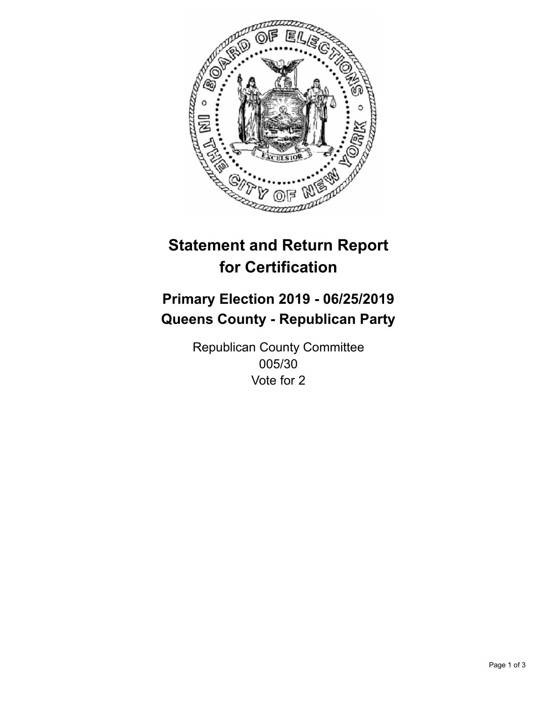

## **Statement and Return Report for Certification**

## **Primary Election 2019 - 06/25/2019 Queens County - Republican Party**

Republican County Committee 005/30 Vote for 2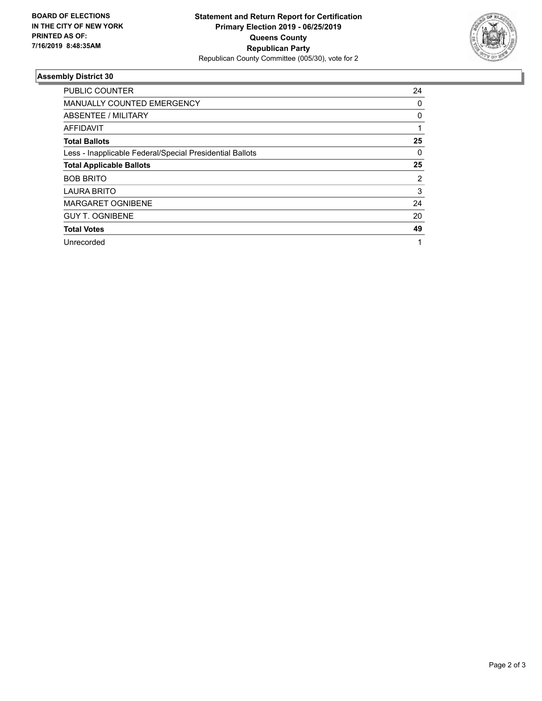

## **Assembly District 30**

| <b>PUBLIC COUNTER</b>                                    | 24 |
|----------------------------------------------------------|----|
| <b>MANUALLY COUNTED EMERGENCY</b>                        | 0  |
| ABSENTEE / MILITARY                                      | 0  |
| AFFIDAVIT                                                |    |
| <b>Total Ballots</b>                                     | 25 |
| Less - Inapplicable Federal/Special Presidential Ballots | 0  |
| <b>Total Applicable Ballots</b>                          | 25 |
| <b>BOB BRITO</b>                                         | 2  |
| <b>LAURA BRITO</b>                                       | 3  |
| <b>MARGARET OGNIBENE</b>                                 | 24 |
| <b>GUY T. OGNIBENE</b>                                   | 20 |
| <b>Total Votes</b>                                       | 49 |
| Unrecorded                                               | 4  |